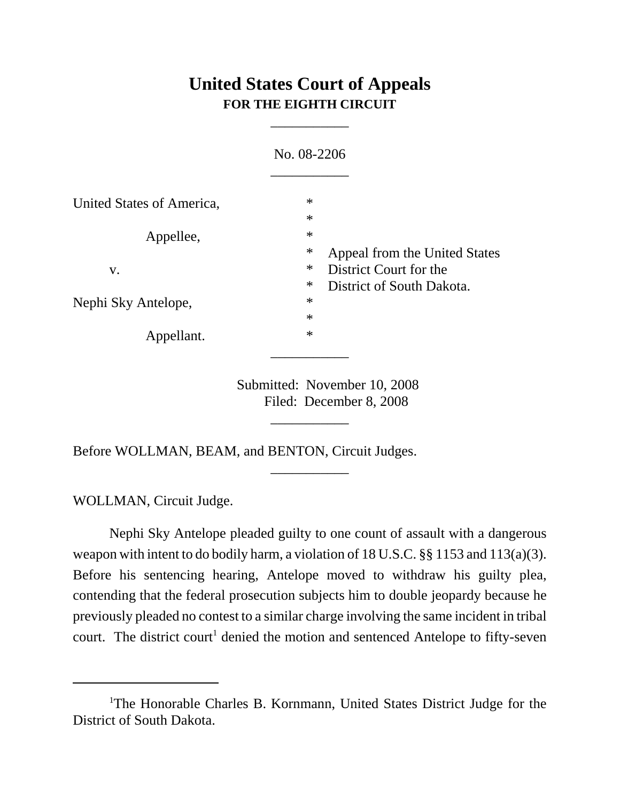## **United States Court of Appeals FOR THE EIGHTH CIRCUIT**

\_\_\_\_\_\_\_\_\_\_\_

|                           | No. 08-2206                                                             |  |
|---------------------------|-------------------------------------------------------------------------|--|
| United States of America, | $\ast$                                                                  |  |
| Appellee,                 | $\ast$<br>$\ast$                                                        |  |
|                           | $\ast$<br>Appeal from the United States                                 |  |
| V.                        | $\ast$<br>District Court for the<br>$\ast$<br>District of South Dakota. |  |
| Nephi Sky Antelope,       | $\ast$<br>$\ast$                                                        |  |
| Appellant.                | $\ast$                                                                  |  |
|                           |                                                                         |  |

Submitted: November 10, 2008 Filed: December 8, 2008

\_\_\_\_\_\_\_\_\_\_\_

\_\_\_\_\_\_\_\_\_\_\_

Before WOLLMAN, BEAM, and BENTON, Circuit Judges.

WOLLMAN, Circuit Judge.

Nephi Sky Antelope pleaded guilty to one count of assault with a dangerous weapon with intent to do bodily harm, a violation of 18 U.S.C. §§ 1153 and 113(a)(3). Before his sentencing hearing, Antelope moved to withdraw his guilty plea, contending that the federal prosecution subjects him to double jeopardy because he previously pleaded no contest to a similar charge involving the same incident in tribal court. The district court<sup>1</sup> denied the motion and sentenced Antelope to fifty-seven

<sup>&</sup>lt;sup>1</sup>The Honorable Charles B. Kornmann, United States District Judge for the District of South Dakota.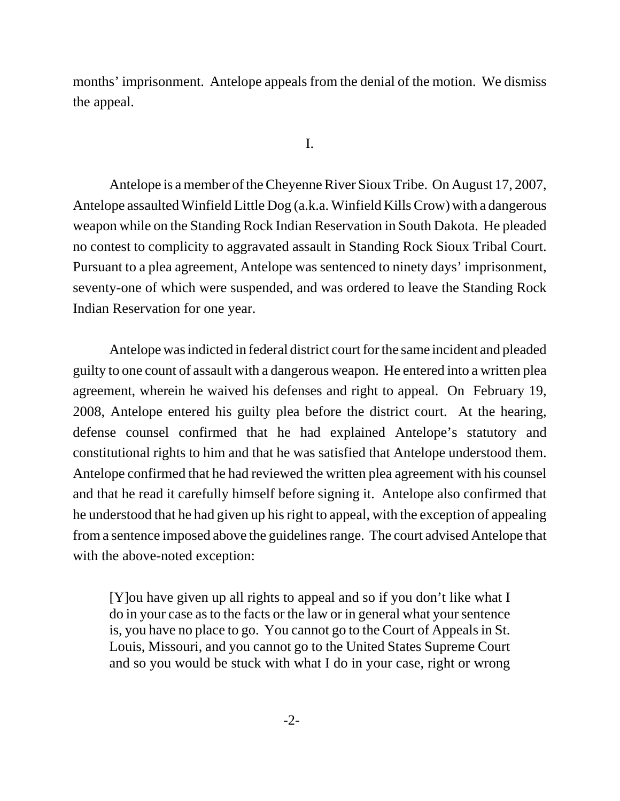months' imprisonment. Antelope appeals from the denial of the motion. We dismiss the appeal.

I.

Antelope is a member of the Cheyenne River Sioux Tribe. On August 17, 2007, Antelope assaulted Winfield Little Dog (a.k.a. Winfield Kills Crow) with a dangerous weapon while on the Standing Rock Indian Reservation in South Dakota. He pleaded no contest to complicity to aggravated assault in Standing Rock Sioux Tribal Court. Pursuant to a plea agreement, Antelope was sentenced to ninety days' imprisonment, seventy-one of which were suspended, and was ordered to leave the Standing Rock Indian Reservation for one year.

Antelope was indicted in federal district court for the same incident and pleaded guilty to one count of assault with a dangerous weapon. He entered into a written plea agreement, wherein he waived his defenses and right to appeal. On February 19, 2008, Antelope entered his guilty plea before the district court. At the hearing, defense counsel confirmed that he had explained Antelope's statutory and constitutional rights to him and that he was satisfied that Antelope understood them. Antelope confirmed that he had reviewed the written plea agreement with his counsel and that he read it carefully himself before signing it. Antelope also confirmed that he understood that he had given up his right to appeal, with the exception of appealing from a sentence imposed above the guidelines range. The court advised Antelope that with the above-noted exception:

[Y]ou have given up all rights to appeal and so if you don't like what I do in your case as to the facts or the law or in general what your sentence is, you have no place to go. You cannot go to the Court of Appeals in St. Louis, Missouri, and you cannot go to the United States Supreme Court and so you would be stuck with what I do in your case, right or wrong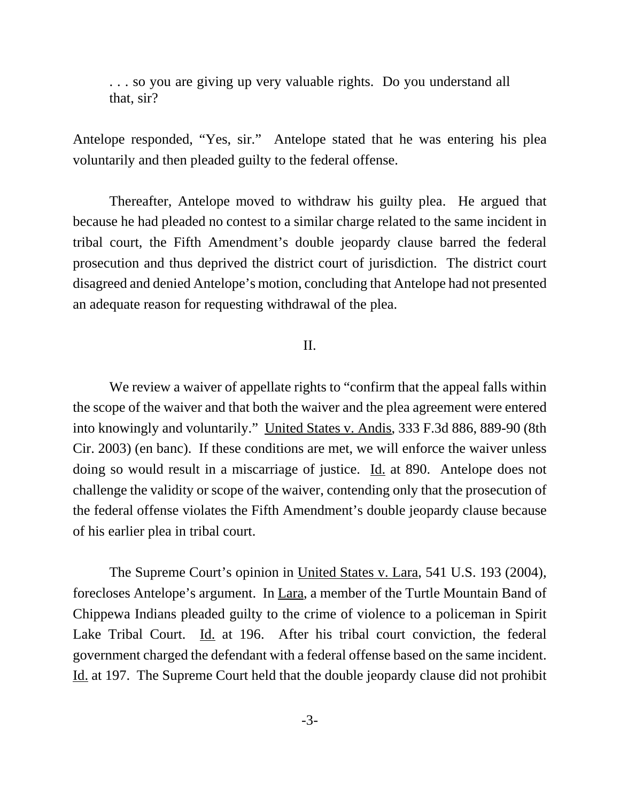. . . so you are giving up very valuable rights. Do you understand all that, sir?

Antelope responded, "Yes, sir." Antelope stated that he was entering his plea voluntarily and then pleaded guilty to the federal offense.

Thereafter, Antelope moved to withdraw his guilty plea. He argued that because he had pleaded no contest to a similar charge related to the same incident in tribal court, the Fifth Amendment's double jeopardy clause barred the federal prosecution and thus deprived the district court of jurisdiction. The district court disagreed and denied Antelope's motion, concluding that Antelope had not presented an adequate reason for requesting withdrawal of the plea.

## II.

We review a waiver of appellate rights to "confirm that the appeal falls within the scope of the waiver and that both the waiver and the plea agreement were entered into knowingly and voluntarily." United States v. Andis, 333 F.3d 886, 889-90 (8th Cir. 2003) (en banc). If these conditions are met, we will enforce the waiver unless doing so would result in a miscarriage of justice. Id. at 890. Antelope does not challenge the validity or scope of the waiver, contending only that the prosecution of the federal offense violates the Fifth Amendment's double jeopardy clause because of his earlier plea in tribal court.

The Supreme Court's opinion in United States v. Lara, 541 U.S. 193 (2004), forecloses Antelope's argument. In Lara, a member of the Turtle Mountain Band of Chippewa Indians pleaded guilty to the crime of violence to a policeman in Spirit Lake Tribal Court. Id. at 196. After his tribal court conviction, the federal government charged the defendant with a federal offense based on the same incident. Id. at 197. The Supreme Court held that the double jeopardy clause did not prohibit